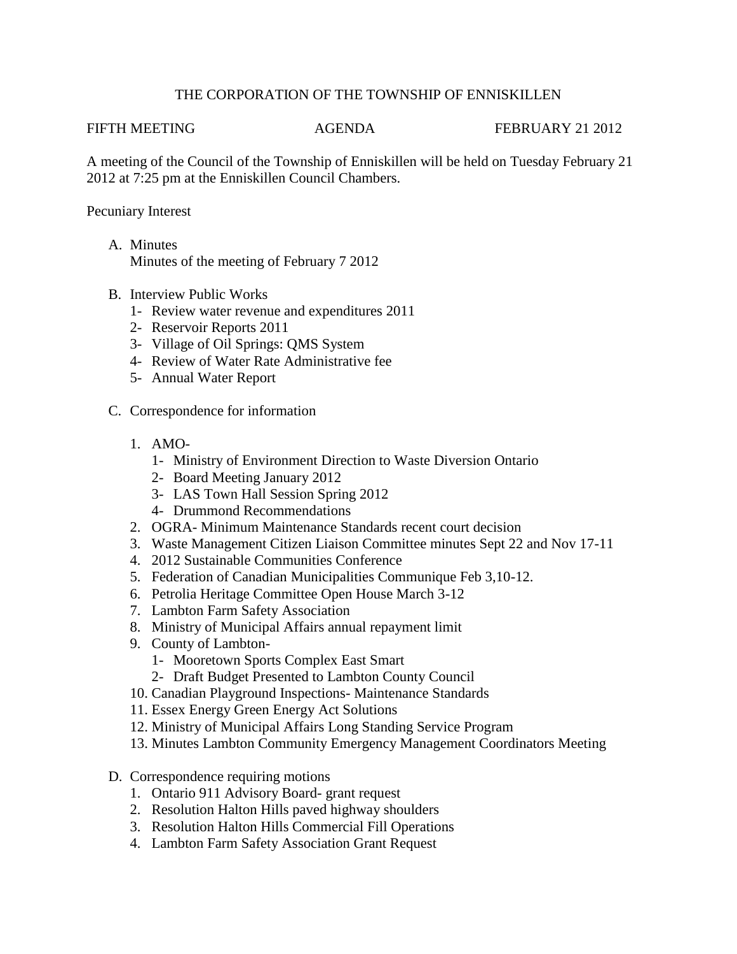### THE CORPORATION OF THE TOWNSHIP OF ENNISKILLEN

FIFTH MEETING **AGENDA** FEBRUARY 21 2012

A meeting of the Council of the Township of Enniskillen will be held on Tuesday February 21 2012 at 7:25 pm at the Enniskillen Council Chambers.

### Pecuniary Interest

- A. Minutes Minutes of the meeting of February 7 2012
- B. Interview Public Works
	- 1- Review water revenue and expenditures 2011
	- 2- Reservoir Reports 2011
	- 3- Village of Oil Springs: QMS System
	- 4- Review of Water Rate Administrative fee
	- 5- Annual Water Report
- C. Correspondence for information
	- 1. AMO-
		- 1- Ministry of Environment Direction to Waste Diversion Ontario
		- 2- Board Meeting January 2012
		- 3- LAS Town Hall Session Spring 2012
		- 4- Drummond Recommendations
	- 2. OGRA- Minimum Maintenance Standards recent court decision
	- 3. Waste Management Citizen Liaison Committee minutes Sept 22 and Nov 17-11
	- 4. 2012 Sustainable Communities Conference
	- 5. Federation of Canadian Municipalities Communique Feb 3,10-12.
	- 6. Petrolia Heritage Committee Open House March 3-12
	- 7. Lambton Farm Safety Association
	- 8. Ministry of Municipal Affairs annual repayment limit
	- 9. County of Lambton-
		- 1- Mooretown Sports Complex East Smart
		- 2- Draft Budget Presented to Lambton County Council
	- 10. Canadian Playground Inspections- Maintenance Standards
	- 11. Essex Energy Green Energy Act Solutions
	- 12. Ministry of Municipal Affairs Long Standing Service Program
	- 13. Minutes Lambton Community Emergency Management Coordinators Meeting
- D. Correspondence requiring motions
	- 1. Ontario 911 Advisory Board- grant request
	- 2. Resolution Halton Hills paved highway shoulders
	- 3. Resolution Halton Hills Commercial Fill Operations
	- 4. Lambton Farm Safety Association Grant Request